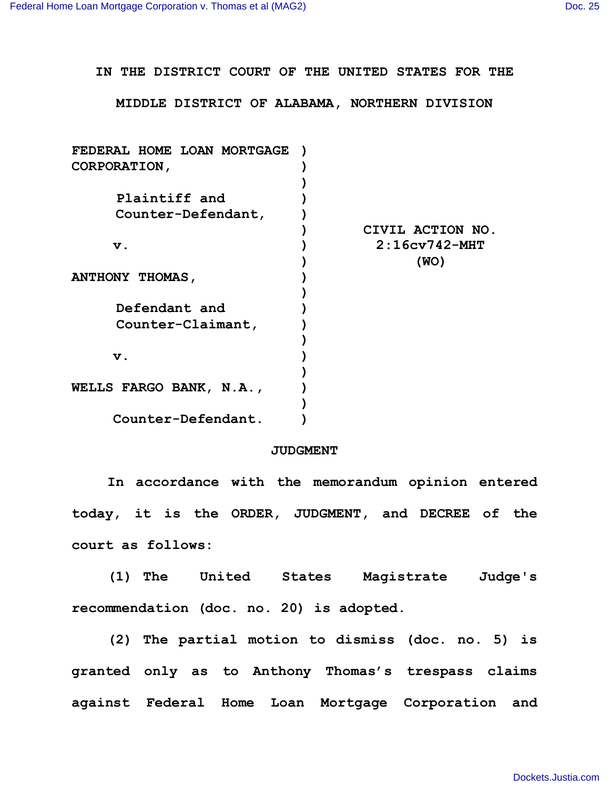**IN THE DISTRICT COURT OF THE UNITED STATES FOR THE**

**MIDDLE DISTRICT OF ALABAMA, NORTHERN DIVISION**

| FEDERAL HOME LOAN MORTGAGE |                  |
|----------------------------|------------------|
| CORPORATION,               |                  |
|                            |                  |
| Plaintiff and              |                  |
| Counter-Defendant,         |                  |
|                            | CIVIL ACTION NO. |
| v.                         | $2:16cv742-MHT$  |
|                            | (WO)             |
| ANTHONY THOMAS,            |                  |
|                            |                  |
| Defendant and              |                  |
| Counter-Claimant,          |                  |
|                            |                  |
| $\mathbf v$ .              |                  |
|                            |                  |
| WELLS FARGO BANK, N.A.,    |                  |
|                            |                  |
| Counter-Defendant.         |                  |
|                            |                  |

## **JUDGMENT**

**In accordance with the memorandum opinion entered today, it is the ORDER, JUDGMENT, and DECREE of the court as follows:**

**(1) The United States Magistrate Judge's recommendation (doc. no. 20) is adopted.**

**(2) The partial motion to dismiss (doc. no. 5) is granted only as to Anthony Thomas's trespass claims against Federal Home Loan Mortgage Corporation and**